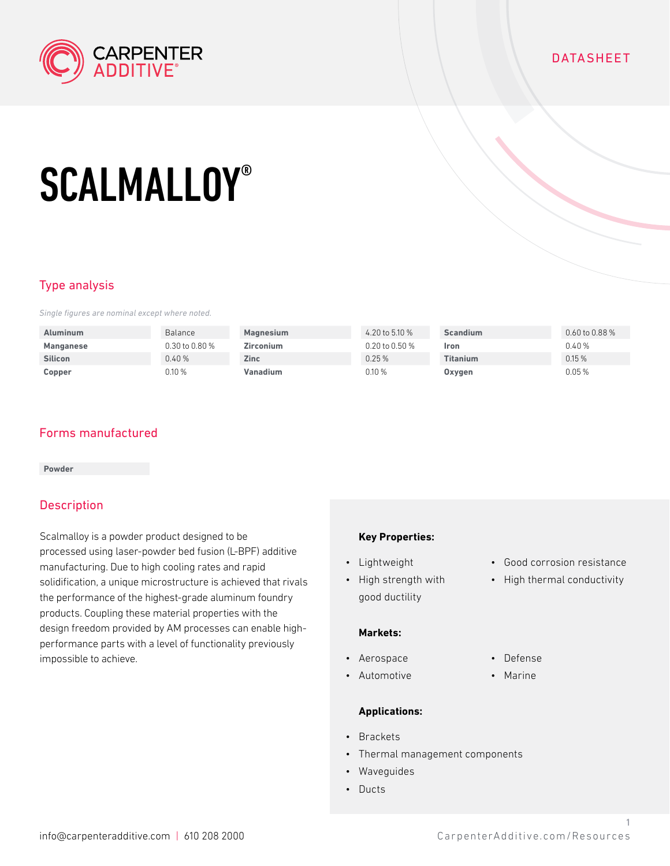

# DATASHEET

# **SCALMALLOY®**

# Type analysis

*Single figures are nominal except where noted.*

| <b>Aluminum</b>  | <b>Balance</b>       | Magnesium        | 4.20 to 5.10 %       | <b>Scandium</b> | $0.60$ to $0.88$ % |
|------------------|----------------------|------------------|----------------------|-----------------|--------------------|
| <b>Manganese</b> | $0.30$ to $0.80\,\%$ | <b>Zirconium</b> | $0.20$ to $0.50\,\%$ | Iron            | 0.40 %             |
| <b>Silicon</b>   | 0.40%                | <b>Zinc</b>      | 0.25%                | <b>Titanium</b> | 0.15%              |
| Copper           | 0.10%                | Vanadium         | 0.10 %               | Oxygen          | $0.05\,\%$         |

## Forms manufactured

#### **Powder**

## **Description**

Scalmalloy is a powder product designed to be processed using laser-powder bed fusion (L-BPF) additive manufacturing. Due to high cooling rates and rapid solidification, a unique microstructure is achieved that rivals the performance of the highest-grade aluminum foundry products. Coupling these material properties with the design freedom provided by AM processes can enable highperformance parts with a level of functionality previously impossible to achieve.

#### **Key Properties:**

- Lightweight
- High strength with good ductility

#### **Markets:**

- Aerospace
- Automotive

### **Applications:**

- Brackets
- Thermal management components
- Waveguides
- Ducts
- Good corrosion resistance
- High thermal conductivity
- Defense
- Marine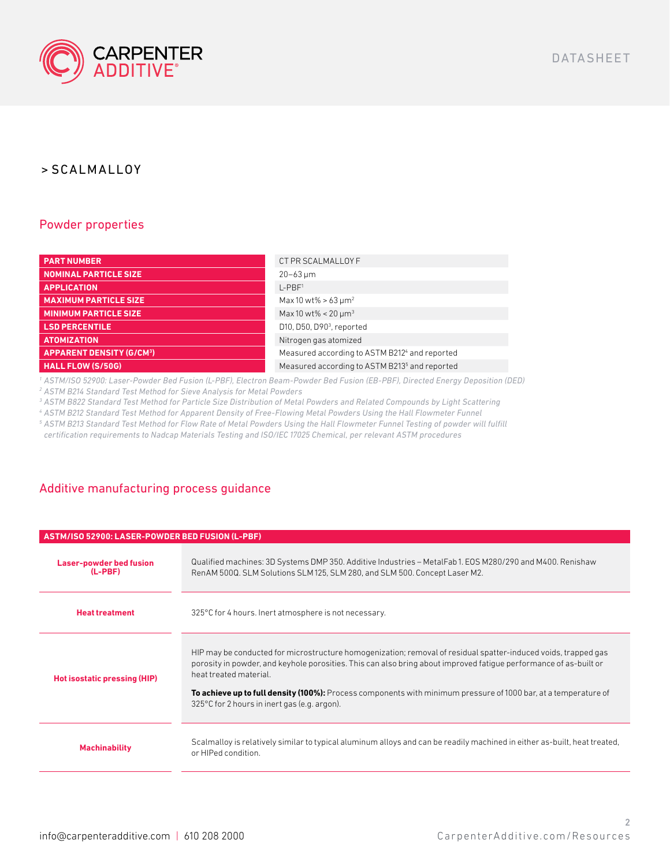

# > SCALMALLOY

## Powder properties

| <b>PART NUMBER</b>              | CT PR SCALMALLOY F                                        |
|---------------------------------|-----------------------------------------------------------|
| <b>NOMINAL PARTICLE SIZE</b>    | $20 - 63 \,\mathrm{\upmu m}$                              |
| <b>APPLICATION</b>              | $L-PBF1$                                                  |
| <b>MAXIMUM PARTICLE SIZE</b>    | Max 10 wt% > 63 $\mu$ m <sup>2</sup>                      |
| <b>MINIMUM PARTICLE SIZE</b>    | Max 10 wt% < $20 \mu m^3$                                 |
| <b>LSD PERCENTILE</b>           | D10, D50, D90 <sup>3</sup> , reported                     |
| <b>ATOMIZATION</b>              | Nitrogen gas atomized                                     |
| <b>APPARENT DENSITY (G/CM3)</b> | Measured according to ASTM B2124 and reported             |
| HALL FLOW (S/50G),              | Measured according to ASTM B213 <sup>5</sup> and reported |

*1 ASTM/ISO 52900: Laser-Powder Bed Fusion (L-PBF), Electron Beam-Powder Bed Fusion (EB-PBF), Directed Energy Deposition (DED)*

*2 ASTM B214 Standard Test Method for Sieve Analysis for Metal Powders*

*3 ASTM B822 Standard Test Method for Particle Size Distribution of Metal Powders and Related Compounds by Light Scattering*

*4 ASTM B212 Standard Test Method for Apparent Density of Free-Flowing Metal Powders Using the Hall Flowmeter Funnel*

*<sup>5</sup> ASTM B213 Standard Test Method for Flow Rate of Metal Powders Using the Hall Flowmeter Funnel Testing of powder will fulfill certification requirements to Nadcap Materials Testing and ISO/IEC 17025 Chemical, per relevant ASTM procedures*

# Additive manufacturing process guidance

| ASTM/ISO 52900: LASER-POWDER BED FUSION (L-PBF) |                                                                                                                                                                                                                                                                                                                                                                                                                                  |  |  |  |
|-------------------------------------------------|----------------------------------------------------------------------------------------------------------------------------------------------------------------------------------------------------------------------------------------------------------------------------------------------------------------------------------------------------------------------------------------------------------------------------------|--|--|--|
| <b>Laser-powder bed fusion</b><br>(L-PBF)       | Qualified machines: 3D Systems DMP 350. Additive Industries – MetalFab 1. EOS M280/290 and M400. Renishaw<br>RenAM 500Q. SLM Solutions SLM 125, SLM 280, and SLM 500. Concept Laser M2.                                                                                                                                                                                                                                          |  |  |  |
| <b>Heat treatment</b>                           | 325°C for 4 hours. Inert atmosphere is not necessary.                                                                                                                                                                                                                                                                                                                                                                            |  |  |  |
| Hot isostatic pressing (HIP)                    | HIP may be conducted for microstructure homogenization; removal of residual spatter-induced voids, trapped gas<br>porosity in powder, and keyhole porosities. This can also bring about improved fatique performance of as-built or<br>heat treated material.<br>To achieve up to full density (100%): Process components with minimum pressure of 1000 bar, at a temperature of<br>325°C for 2 hours in inert gas (e.g. argon). |  |  |  |
| <b>Machinability</b>                            | Scalmalloy is relatively similar to typical aluminum alloys and can be readily machined in either as-built, heat treated,<br>or HIPed condition.                                                                                                                                                                                                                                                                                 |  |  |  |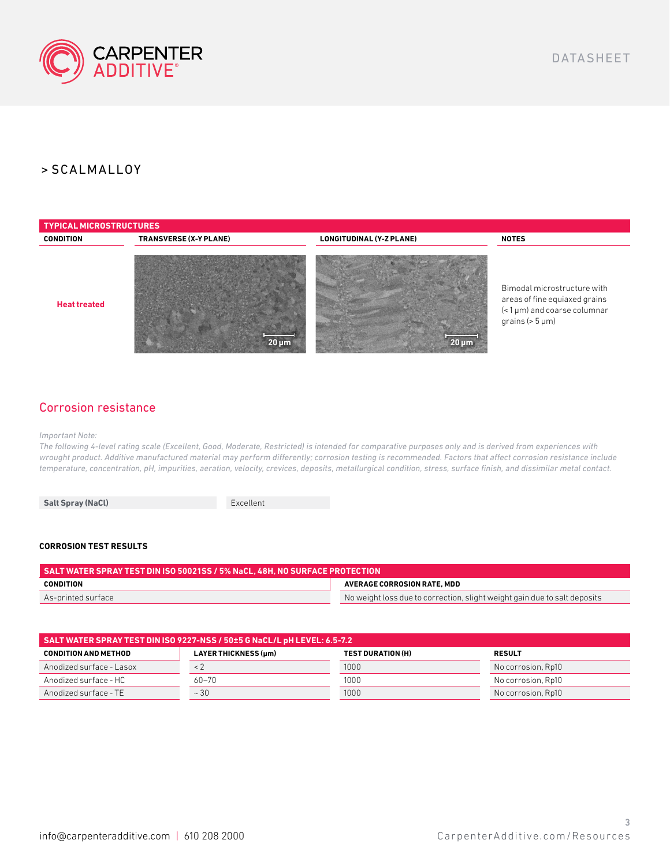

# > SCALMALLOY



## Corrosion resistance

*Important Note:* 

*The following 4-level rating scale (Excellent, Good, Moderate, Restricted) is intended for comparative purposes only and is derived from experiences with wrought product. Additive manufactured material may perform differently; corrosion testing is recommended. Factors that affect corrosion resistance include temperature, concentration, pH, impurities, aeration, velocity, crevices, deposits, metallurgical condition, stress, surface finish, and dissimilar metal contact.*

Salt Spray (NaCl) **Excellent** 

#### **CORROSION TEST RESULTS**

| SALT WATER SPRAY TEST DIN ISO 50021SS / 5% NaCL. 48H. NO SURFACE PROTECTION [ |                                                                           |  |  |  |
|-------------------------------------------------------------------------------|---------------------------------------------------------------------------|--|--|--|
| CONDITION                                                                     | AVERAGE CORROSION RATE. MDD                                               |  |  |  |
| As-printed surface                                                            | No weight loss due to correction, slight weight gain due to salt deposits |  |  |  |

| SALT WATER SPRAY TEST DIN ISO 9227-NSS / 50±5 G NaCL/L pH LEVEL: 6.5-7.2 |                      |                          |                    |  |  |
|--------------------------------------------------------------------------|----------------------|--------------------------|--------------------|--|--|
| <b>CONDITION AND METHOD</b>                                              | LAYER THICKNESS (µm) | <b>TEST DURATION (H)</b> | <b>RESULT</b>      |  |  |
| Anodized surface - Lasox                                                 |                      | 1000                     | No corrosion, Rp10 |  |  |
| Anodized surface - HC                                                    | $60 - 70$            | 1000                     | No corrosion, Rp10 |  |  |
| Anodized surface - TE                                                    | $~\sim$ 30           | 1000                     | No corrosion, Rp10 |  |  |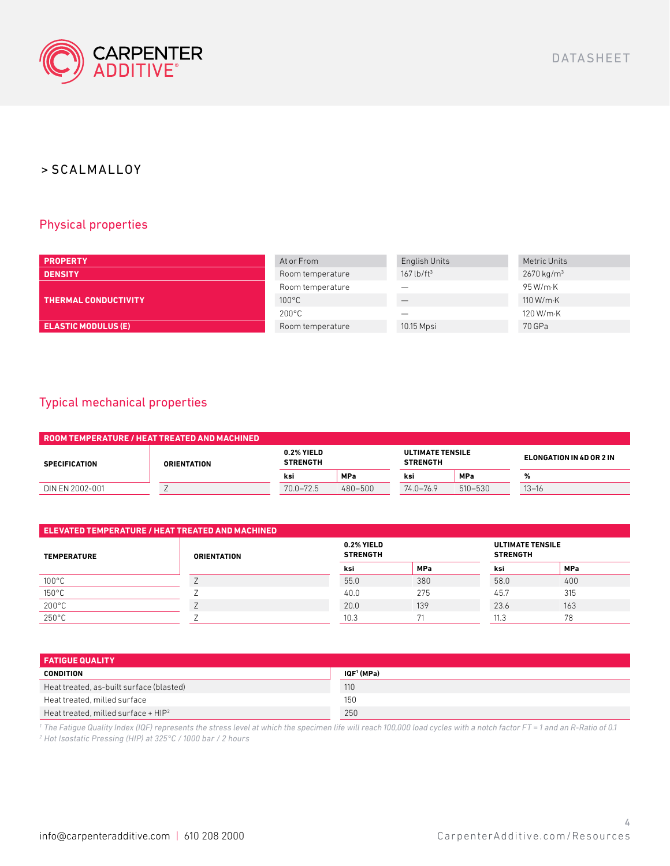

# > SCALMALLOY

# Physical properties

| <b>PROPERTY</b>             | At or From       | English Units            | Metric Units          |
|-----------------------------|------------------|--------------------------|-----------------------|
| <b>DENSITY</b>              | Room temperature | $167$ lb/ft <sup>3</sup> | $2670 \text{ kg/m}^3$ |
|                             | Room temperature |                          | 95 W/m·K              |
| <b>THERMAL CONDUCTIVITY</b> | $100^{\circ}$ C  |                          | 110 W/m $\cdot$ K     |
|                             | $200^{\circ}$ C  |                          | 120 W/m·K             |
| <b>ELASTIC MODULUS (E)</b>  | Room temperature | 10.15 Mpsi               | 70 GPa                |

## Typical mechanical properties

| . ROOM TEMPERATURE / HEAT TREATED AND MACHINED. |                    |                               |            |                                            |             |                          |  |
|-------------------------------------------------|--------------------|-------------------------------|------------|--------------------------------------------|-------------|--------------------------|--|
| <b>SPECIFICATION</b>                            | <b>ORIENTATION</b> | 0.2% YIELD<br><b>STRENGTH</b> |            | <b>ULTIMATE TENSILE</b><br><b>STRENGTH</b> |             | ELONGATION IN 4D OR 2 IN |  |
|                                                 |                    | ksi                           | <b>MPa</b> | ksi                                        | <b>MPa</b>  | %                        |  |
| DIN EN 2002-001                                 |                    | $70.0 - 72.5$                 | 480-500    | $74.0 - 76.9$                              | $510 - 530$ | $13 - 16$                |  |

| ELEVATED TEMPERATURE / HEAT TREATED AND MACHINED |                    |                               |            |      |                                            |  |
|--------------------------------------------------|--------------------|-------------------------------|------------|------|--------------------------------------------|--|
| <b>TEMPERATURE</b>                               | <b>ORIENTATION</b> | 0.2% YIELD<br><b>STRENGTH</b> |            |      | <b>ULTIMATE TENSILE</b><br><b>STRENGTH</b> |  |
|                                                  |                    | ksi                           | <b>MPa</b> | ksi  | <b>MPa</b>                                 |  |
| $100^{\circ}$ C                                  |                    | 55.0                          | 380        | 58.0 | 400                                        |  |
| 150°C                                            |                    | 40.0                          | 275        | 45.7 | 315                                        |  |
| $200^{\circ}$ C                                  |                    | 20.0                          | 139        | 23.6 | 163                                        |  |
| $250^{\circ}$ C                                  |                    | 10.3                          | 71         | 11.3 | 78                                         |  |

| <b>FATIGUE QUALITY</b>                   |            |  |  |  |
|------------------------------------------|------------|--|--|--|
| <b>CONDITION</b>                         | IQF' (MPa) |  |  |  |
| Heat treated, as-built surface (blasted) | 110        |  |  |  |
| Heat treated, milled surface             | 150        |  |  |  |
| Heat treated, milled surface + $HIP2$    | 250        |  |  |  |

<sup>1</sup> The Fatigue Quality Index (IQF) represents the stress level at which the specimen life will reach 100,000 load cycles with a notch factor FT = 1 and an R-Ratio of 0.1 *2 Hot Isostatic Pressing (HIP) at 325°C / 1000 bar / 2 hours*